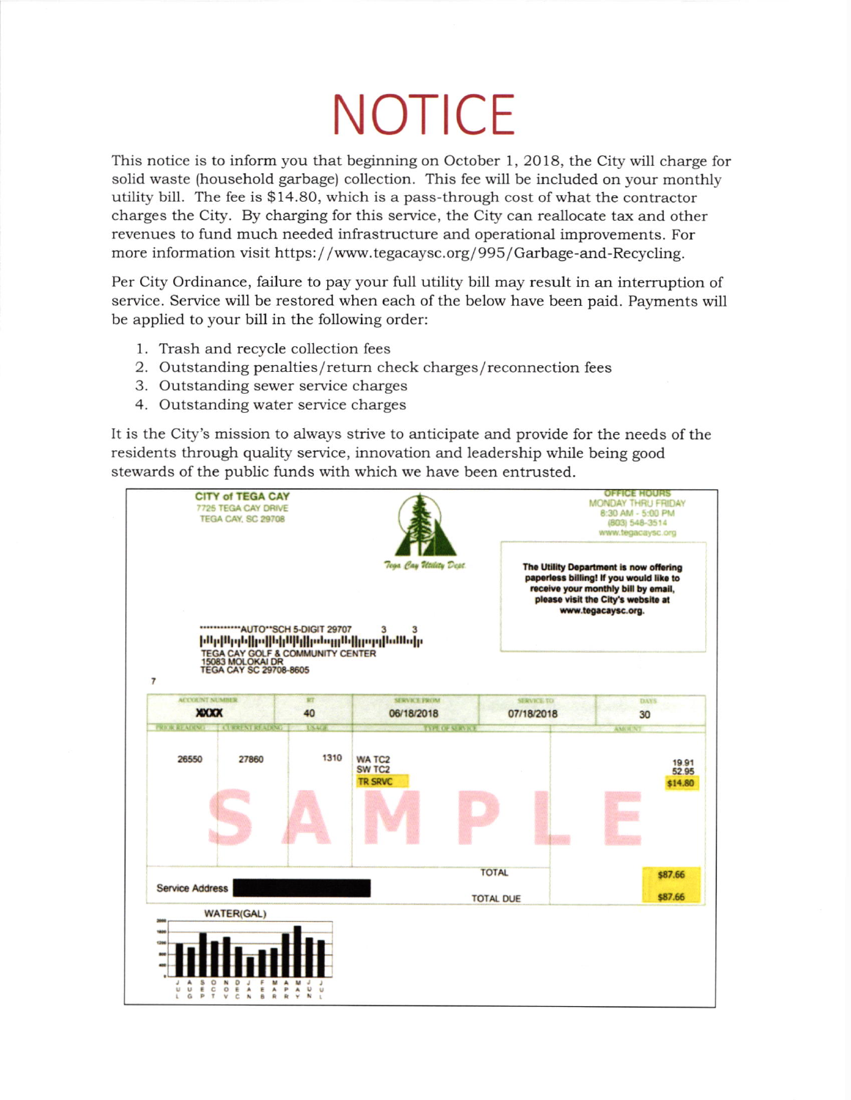## **NOTICE**

This notice is to inform you that beginning on October 1, 2018, the City will charge for solid waste (household garbage) collection. This fee will be included on your monthly utility bill. The fee is \$14.80, which is a pass-through cost of what the contractor charges the City. By charging for this service, the City can reallocate tax and other revenues to fund much needed infrastructure and operational improvements. For more information visit https://www.tegacaysc.org/995/Garbage-and-Recycling.

Per City Ordinance, failure to pay your full utility bill may result in an interruption of service. Service will be restored when each of the below have been paid. Payments will be applied to your bill in the following order:

- 1. Trash and recycle collection fees
- 2. Outstanding penalties/return check charges/reconnection fees
- 3. Outstanding sewer service charges
- 4. Outstanding water service charges

It is the City's mission to always strive to anticipate and provide for the needs of the residents through quality service, innovation and leadership while being good stewards of the public funds with which we have been entrusted.